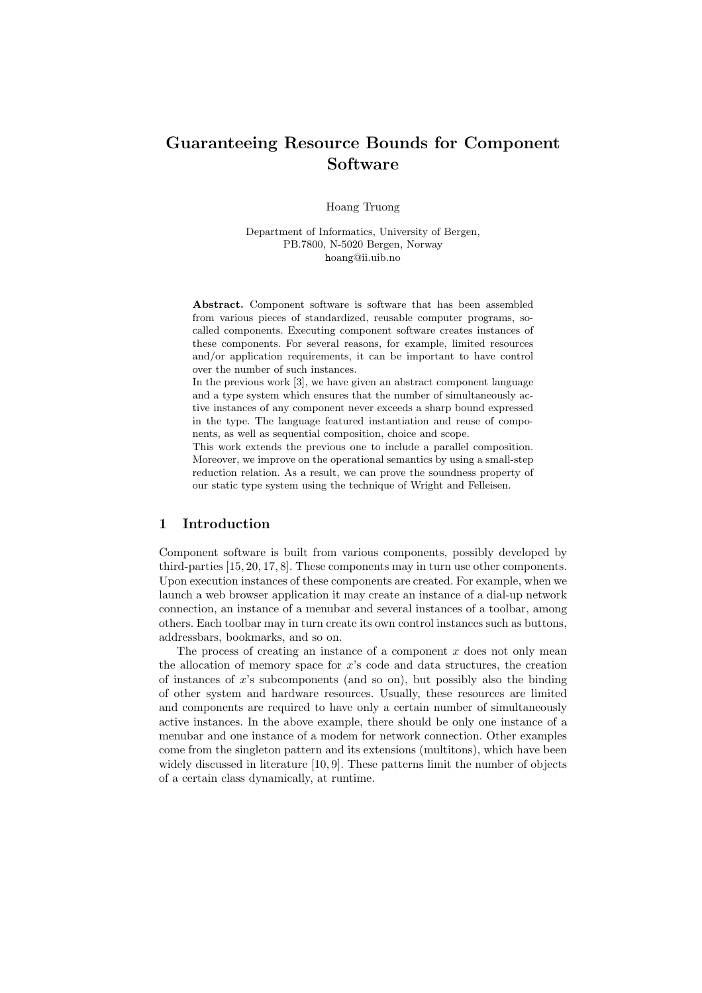# Guaranteeing Resource Bounds for Component Software

Hoang Truong

Department of Informatics, University of Bergen, PB.7800, N-5020 Bergen, Norway hoang@ii.uib.no

Abstract. Component software is software that has been assembled from various pieces of standardized, reusable computer programs, socalled components. Executing component software creates instances of these components. For several reasons, for example, limited resources and/or application requirements, it can be important to have control over the number of such instances.

In the previous work [3], we have given an abstract component language and a type system which ensures that the number of simultaneously active instances of any component never exceeds a sharp bound expressed in the type. The language featured instantiation and reuse of components, as well as sequential composition, choice and scope.

This work extends the previous one to include a parallel composition. Moreover, we improve on the operational semantics by using a small-step reduction relation. As a result, we can prove the soundness property of our static type system using the technique of Wright and Felleisen.

# 1 Introduction

Component software is built from various components, possibly developed by third-parties [15, 20, 17, 8]. These components may in turn use other components. Upon execution instances of these components are created. For example, when we launch a web browser application it may create an instance of a dial-up network connection, an instance of a menubar and several instances of a toolbar, among others. Each toolbar may in turn create its own control instances such as buttons, addressbars, bookmarks, and so on.

The process of creating an instance of a component  $x$  does not only mean the allocation of memory space for x's code and data structures, the creation of instances of  $x$ 's subcomponents (and so on), but possibly also the binding of other system and hardware resources. Usually, these resources are limited and components are required to have only a certain number of simultaneously active instances. In the above example, there should be only one instance of a menubar and one instance of a modem for network connection. Other examples come from the singleton pattern and its extensions (multitons), which have been widely discussed in literature [10, 9]. These patterns limit the number of objects of a certain class dynamically, at runtime.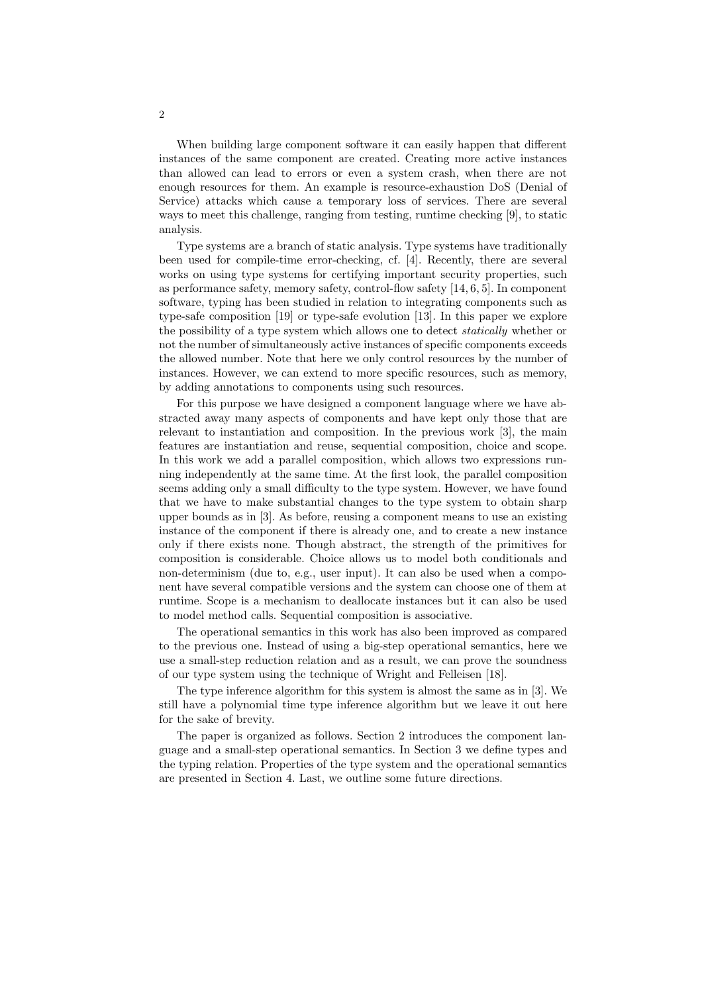When building large component software it can easily happen that different instances of the same component are created. Creating more active instances than allowed can lead to errors or even a system crash, when there are not enough resources for them. An example is resource-exhaustion DoS (Denial of Service) attacks which cause a temporary loss of services. There are several ways to meet this challenge, ranging from testing, runtime checking [9], to static analysis.

Type systems are a branch of static analysis. Type systems have traditionally been used for compile-time error-checking, cf. [4]. Recently, there are several works on using type systems for certifying important security properties, such as performance safety, memory safety, control-flow safety [14, 6, 5]. In component software, typing has been studied in relation to integrating components such as type-safe composition [19] or type-safe evolution [13]. In this paper we explore the possibility of a type system which allows one to detect statically whether or not the number of simultaneously active instances of specific components exceeds the allowed number. Note that here we only control resources by the number of instances. However, we can extend to more specific resources, such as memory, by adding annotations to components using such resources.

For this purpose we have designed a component language where we have abstracted away many aspects of components and have kept only those that are relevant to instantiation and composition. In the previous work [3], the main features are instantiation and reuse, sequential composition, choice and scope. In this work we add a parallel composition, which allows two expressions running independently at the same time. At the first look, the parallel composition seems adding only a small difficulty to the type system. However, we have found that we have to make substantial changes to the type system to obtain sharp upper bounds as in [3]. As before, reusing a component means to use an existing instance of the component if there is already one, and to create a new instance only if there exists none. Though abstract, the strength of the primitives for composition is considerable. Choice allows us to model both conditionals and non-determinism (due to, e.g., user input). It can also be used when a component have several compatible versions and the system can choose one of them at runtime. Scope is a mechanism to deallocate instances but it can also be used to model method calls. Sequential composition is associative.

The operational semantics in this work has also been improved as compared to the previous one. Instead of using a big-step operational semantics, here we use a small-step reduction relation and as a result, we can prove the soundness of our type system using the technique of Wright and Felleisen [18].

The type inference algorithm for this system is almost the same as in [3]. We still have a polynomial time type inference algorithm but we leave it out here for the sake of brevity.

The paper is organized as follows. Section 2 introduces the component language and a small-step operational semantics. In Section 3 we define types and the typing relation. Properties of the type system and the operational semantics are presented in Section 4. Last, we outline some future directions.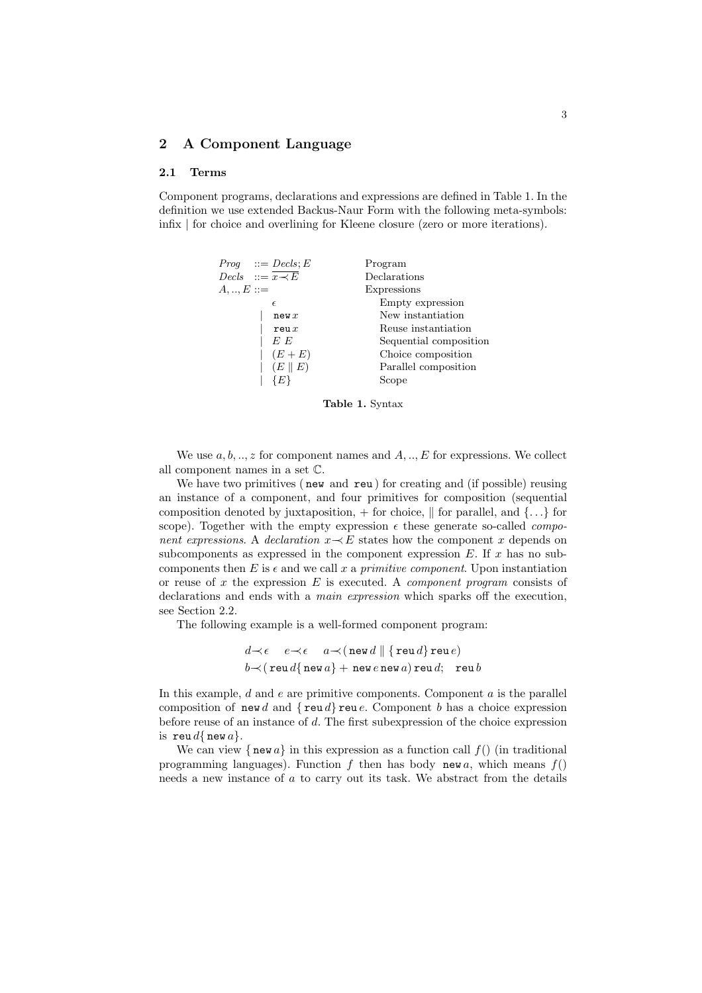## 2 A Component Language

## 2.1 Terms

Component programs, declarations and expressions are defined in Table 1. In the definition we use extended Backus-Naur Form with the following meta-symbols: infix | for choice and overlining for Kleene closure (zero or more iterations).

| $Prog ::= Decls; E$                     | Program                |
|-----------------------------------------|------------------------|
| $Decls$ := $\overline{x \rightarrow E}$ | Declarations           |
| $A, , E ::=$                            | Expressions            |
| €                                       | Empty expression       |
| new x                                   | New instantiation      |
| $\texttt{reu} \, x$                     | Reuse instantiation    |
| EΕ                                      | Sequential composition |
| $(E+E)$                                 | Choice composition     |
| $(E \parallel E)$                       | Parallel composition   |
| ${E}$                                   | Scope                  |
|                                         |                        |



We use  $a, b, \ldots, z$  for component names and  $A, \ldots, E$  for expressions. We collect all component names in a set C.

We have two primitives (new and reu) for creating and (if possible) reusing an instance of a component, and four primitives for composition (sequential composition denoted by juxtaposition,  $+$  for choice,  $\parallel$  for parallel, and  $\{ \ldots \}$  for scope). Together with the empty expression  $\epsilon$  these generate so-called *compo*nent expressions. A declaration  $x \rightarrow E$  states how the component x depends on subcomponents as expressed in the component expression  $E$ . If  $x$  has no subcomponents then E is  $\epsilon$  and we call x a primitive component. Upon instantiation or reuse of  $x$  the expression  $E$  is executed. A *component program* consists of declarations and ends with a *main expression* which sparks off the execution, see Section 2.2.

The following example is a well-formed component program:

$$
d \prec \epsilon \quad e \prec \epsilon \quad a \prec (\text{new } d \mid \{\text{reu } d\} \text{reu } e)
$$
  

$$
b \prec (\text{reu } d \{\text{new } a\} + \text{new } e \text{ new } a) \text{reu } d; \text{reu } b
$$

In this example,  $d$  and  $e$  are primitive components. Component  $a$  is the parallel composition of new d and  $\{ \text{reu } d \}$  reu e. Component b has a choice expression before reuse of an instance of d. The first subexpression of the choice expression is reu  $d\{\text{new }a\}.$ 

We can view  $\{new a\}$  in this expression as a function call  $f()$  (in traditional programming languages). Function f then has body new a, which means  $f()$ needs a new instance of a to carry out its task. We abstract from the details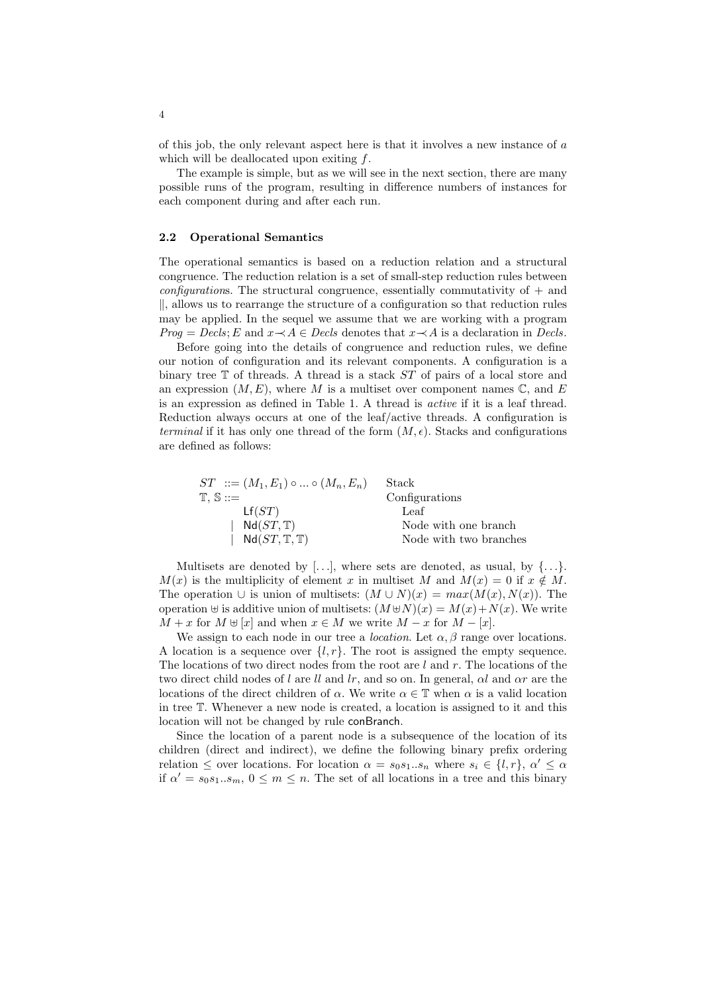of this job, the only relevant aspect here is that it involves a new instance of a which will be deallocated upon exiting f.

The example is simple, but as we will see in the next section, there are many possible runs of the program, resulting in difference numbers of instances for each component during and after each run.

## 2.2 Operational Semantics

The operational semantics is based on a reduction relation and a structural congruence. The reduction relation is a set of small-step reduction rules between  $configurations.$  The structural congruence, essentially commutativity of  $+$  and  $\parallel$ , allows us to rearrange the structure of a configuration so that reduction rules may be applied. In the sequel we assume that we are working with a program  $Prog = Decls; E$  and  $x \rightarrow A \in Decls$  denotes that  $x \rightarrow A$  is a declaration in Decls.

Before going into the details of congruence and reduction rules, we define our notion of configuration and its relevant components. A configuration is a binary tree  $\mathbb T$  of threads. A thread is a stack  $ST$  of pairs of a local store and an expression  $(M, E)$ , where M is a multiset over component names C, and E is an expression as defined in Table 1. A thread is active if it is a leaf thread. Reduction always occurs at one of the leaf/active threads. A configuration is terminal if it has only one thread of the form  $(M, \epsilon)$ . Stacks and configurations are defined as follows:

| $ST$ ::= $(M_1, E_1) \circ  \circ (M_n, E_n)$ | Stack                  |
|-----------------------------------------------|------------------------|
| $T.S ::=$                                     | Configurations         |
| Lf(ST)                                        | Leaf                   |
| $\mid$ Nd( $ST$ , T)                          | Node with one branch   |
| $  \text{Nd}(ST, \text{T}, \text{T})$         | Node with two branches |

Multisets are denoted by  $[...]$ , where sets are denoted, as usual, by  $\{... \}$ .  $M(x)$  is the multiplicity of element x in multiset M and  $M(x) = 0$  if  $x \notin M$ . The operation  $\cup$  is union of multisets:  $(M \cup N)(x) = max(M(x), N(x))$ . The operation  $\forall$  is additive union of multisets:  $(M \forall N)(x) = M(x) + N(x)$ . We write  $M + x$  for  $M \oplus [x]$  and when  $x \in M$  we write  $M - x$  for  $M - [x]$ .

We assign to each node in our tree a *location*. Let  $\alpha, \beta$  range over locations. A location is a sequence over  $\{l, r\}$ . The root is assigned the empty sequence. The locations of two direct nodes from the root are  $l$  and  $r$ . The locations of the two direct child nodes of l are ll and lr, and so on. In general,  $\alpha l$  and  $\alpha r$  are the locations of the direct children of  $\alpha$ . We write  $\alpha \in \mathbb{T}$  when  $\alpha$  is a valid location in tree T. Whenever a new node is created, a location is assigned to it and this location will not be changed by rule conBranch.

Since the location of a parent node is a subsequence of the location of its children (direct and indirect), we define the following binary prefix ordering relation  $\leq$  over locations. For location  $\alpha = s_0 s_1 \dots s_n$  where  $s_i \in \{l, r\}, \alpha' \leq \alpha$ if  $\alpha' = s_0 s_1 \dots s_m$ ,  $0 \leq m \leq n$ . The set of all locations in a tree and this binary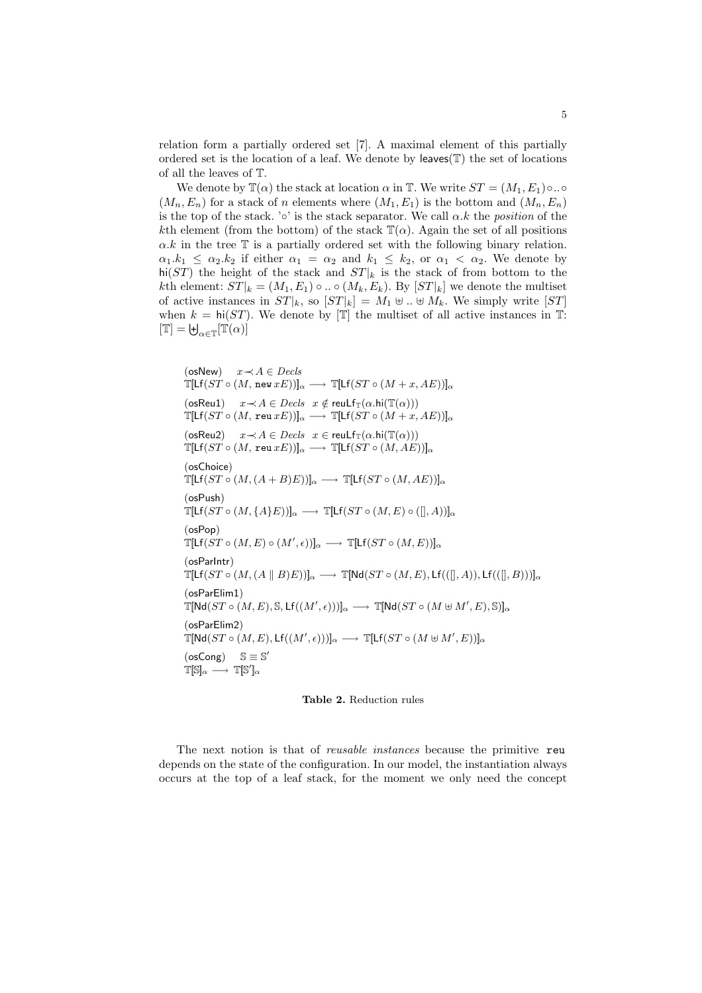relation form a partially ordered set [7]. A maximal element of this partially ordered set is the location of a leaf. We denote by leaves( $T$ ) the set of locations of all the leaves of T.

We denote by  $\mathbb{T}(\alpha)$  the stack at location  $\alpha$  in  $\mathbb{T}$ . We write  $ST = (M_1, E_1) \circ ... \circ$  $(M_n, E_n)$  for a stack of n elements where  $(M_1, E_1)$  is the bottom and  $(M_n, E_n)$ is the top of the stack. '◦' is the stack separator. We call  $\alpha.k$  the *position* of the kth element (from the bottom) of the stack  $\mathbb{T}(\alpha)$ . Again the set of all positions  $\alpha_k$  in the tree T is a partially ordered set with the following binary relation.  $\alpha_1.k_1 \leq \alpha_2.k_2$  if either  $\alpha_1 = \alpha_2$  and  $k_1 \leq k_2$ , or  $\alpha_1 < \alpha_2$ . We denote by hi(ST) the height of the stack and  $ST|_k$  is the stack of from bottom to the kth element:  $ST|_k = (M_1, E_1) \circ ... \circ (M_k, E_k)$ . By  $ST|_k$  we denote the multiset of active instances in  $ST|_k$ , so  $(ST|_k] = M_1 \oplus ... \oplus M_k$ . We simply write  $(ST]$ when  $k = \text{hi}(ST)$ . We denote by [T] the multiset of all active instances in T: when  $\kappa = \ln(\beta T)$ <br>  $[\mathbb{T}] = \biguplus_{\alpha \in \mathbb{T}} [\mathbb{T}(\alpha)]$ 

(osNew)  $x \rightarrow A \in \text{Decls}$  $\mathbb{T}[\mathsf{Lf}(ST \circ (M, \, \mathtt{new}\, xE))]_{\alpha} \longrightarrow \mathbb{T}[\mathsf{Lf}(ST \circ (M+x, AE))]_{\alpha}$ (osReu1)  $x \rightarrow A \in \text{Decls } x \notin \text{reuLf}_{\mathbb{T}}(\alpha, \text{hi}(\mathbb{T}(\alpha)))$  $\mathbb{T}[\mathsf{Lf}(ST \circ (M, \texttt{reu }xE))]_{\alpha} \longrightarrow \mathbb{T}[\mathsf{Lf}(ST \circ (M+x, AE))]_{\alpha}$  $($ osReu2)  $x \rightarrow A \in \text{Decls} \ x \in \text{reuLf}_{\mathbb{T}}(\alpha.\text{hi}(\mathbb{T}(\alpha)))$  $\mathbb{T}[\mathsf{Lf}(ST \circ (M, \, \mathtt{reu}\, xE))]_{\alpha} \longrightarrow \mathbb{T}[\mathsf{Lf}(ST \circ (M, AE))]_{\alpha}$ (osChoice)  $\mathbb{T}[\mathsf{Lf}(ST \circ (M, (A + B)E))]_{\alpha} \longrightarrow \mathbb{T}[\mathsf{Lf}(ST \circ (M, AE))]_{\alpha}$ (osPush)  $\mathbb{T}[\mathsf{Lf}(ST \circ (M, \{A\}E))]_{\alpha} \longrightarrow \mathbb{T}[\mathsf{Lf}(ST \circ (M, E) \circ ([], A))]_{\alpha}$ (osPop)  $\mathbb{T}[\mathsf{Lf}(ST \circ (M, E) \circ (M', \epsilon))]_{\alpha} \longrightarrow \mathbb{T}[\mathsf{Lf}(ST \circ (M, E))]_{\alpha}$ (osParIntr)  $\mathbb{T}[\mathsf{Lf}(ST \circ (M, (A \parallel B)E))]_{\alpha} \longrightarrow \mathbb{T}[\mathsf{Nd}(ST \circ (M, E), \mathsf{Lf}((\mathcal{F}, A)), \mathsf{Lf}((\mathcal{F}, B)))]_{\alpha}$ (osParElim1)  $\mathbb{T}[\mathsf{Nd}(ST\circ (M,E),\mathbb{S},\mathsf{Lf}((M',\epsilon)))]_\alpha \longrightarrow \mathbb{T}[\mathsf{Nd}(ST\circ (M\uplus M',E),\mathbb{S})]_\alpha$ (osParElim2)  $\mathbb{T}[\text{Nd}(ST \circ (M, E), \text{Lf}((M', \epsilon)))]_{\alpha} \longrightarrow \mathbb{T}[\text{Lf}(ST \circ (M \uplus M', E))]_{\alpha}$  $(osCong)$   $\mathbb{S} \equiv \mathbb{S}'$  $\mathbb{T}[\mathbb{S}]_\alpha \longrightarrow \mathbb{T}[\mathbb{S}']_\alpha$ 

#### Table 2. Reduction rules

The next notion is that of *reusable instances* because the primitive reu depends on the state of the configuration. In our model, the instantiation always occurs at the top of a leaf stack, for the moment we only need the concept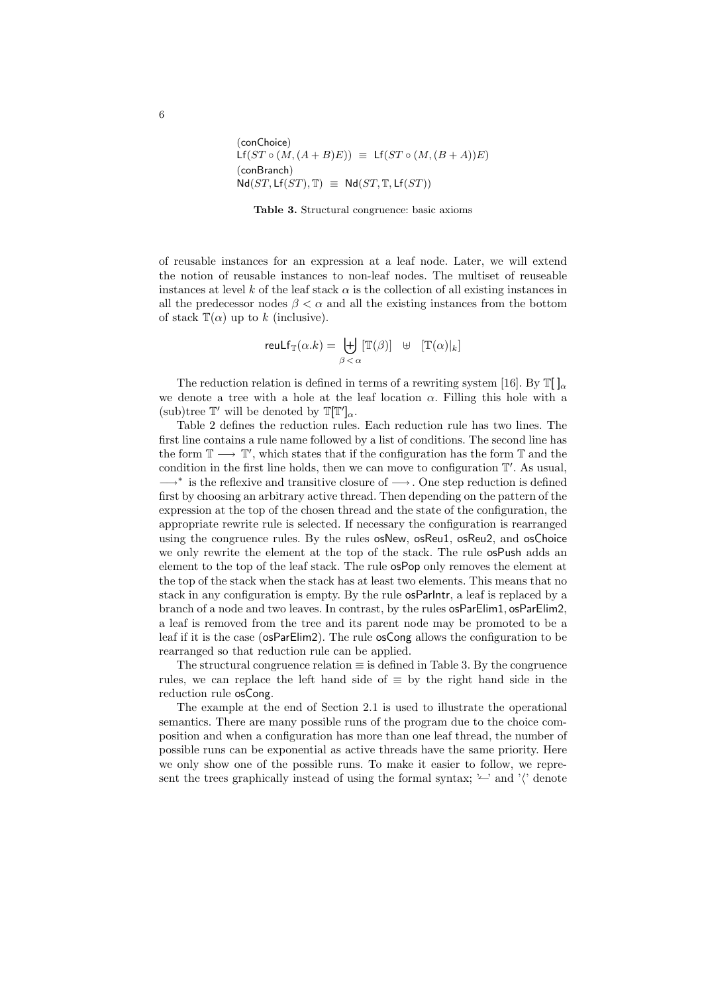(conChoice)  $Lf(ST \circ (M, (A + B)E)) \equiv Lf(ST \circ (M, (B + A))E)$ (conBranch)  $Nd(ST, Lf(ST), T) \equiv Nd(ST, T, Lf(ST)$ 

Table 3. Structural congruence: basic axioms

of reusable instances for an expression at a leaf node. Later, we will extend the notion of reusable instances to non-leaf nodes. The multiset of reuseable instances at level k of the leaf stack  $\alpha$  is the collection of all existing instances in all the predecessor nodes  $\beta < \alpha$  and all the existing instances from the bottom of stack  $\mathbb{T}(\alpha)$  up to k (inclusive).

$$
\text{reulf}_{\mathbb{T}}(\alpha.k) = \biguplus_{\beta < \alpha} [\mathbb{T}(\beta)] \quad \forall \quad [\mathbb{T}(\alpha)|_k]
$$

The reduction relation is defined in terms of a rewriting system [16]. By  $\mathbb{T}[\cdot]_{\alpha}$ we denote a tree with a hole at the leaf location  $\alpha$ . Filling this hole with a (sub)tree  $\mathbb{T}'$  will be denoted by  $\mathbb{T}[\mathbb{T}']_{\alpha}$ .

Table 2 defines the reduction rules. Each reduction rule has two lines. The first line contains a rule name followed by a list of conditions. The second line has the form  $\mathbb{T} \longrightarrow \mathbb{T}'$ , which states that if the configuration has the form  $\mathbb{T}$  and the condition in the first line holds, then we can move to configuration  $\mathbb{T}'$ . As usual, → \* is the reflexive and transitive closure of → . One step reduction is defined first by choosing an arbitrary active thread. Then depending on the pattern of the expression at the top of the chosen thread and the state of the configuration, the appropriate rewrite rule is selected. If necessary the configuration is rearranged using the congruence rules. By the rules osNew, osReu1, osReu2, and osChoice we only rewrite the element at the top of the stack. The rule osPush adds an element to the top of the leaf stack. The rule osPop only removes the element at the top of the stack when the stack has at least two elements. This means that no stack in any configuration is empty. By the rule osParIntr, a leaf is replaced by a branch of a node and two leaves. In contrast, by the rules osParElim1, osParElim2, a leaf is removed from the tree and its parent node may be promoted to be a leaf if it is the case (osParElim2). The rule osCong allows the configuration to be rearranged so that reduction rule can be applied.

The structural congruence relation  $\equiv$  is defined in Table 3. By the congruence rules, we can replace the left hand side of  $\equiv$  by the right hand side in the reduction rule osCong.

The example at the end of Section 2.1 is used to illustrate the operational semantics. There are many possible runs of the program due to the choice composition and when a configuration has more than one leaf thread, the number of possible runs can be exponential as active threads have the same priority. Here we only show one of the possible runs. To make it easier to follow, we represent the trees graphically instead of using the formal syntax;  $\sim$  and  $\prime$  denote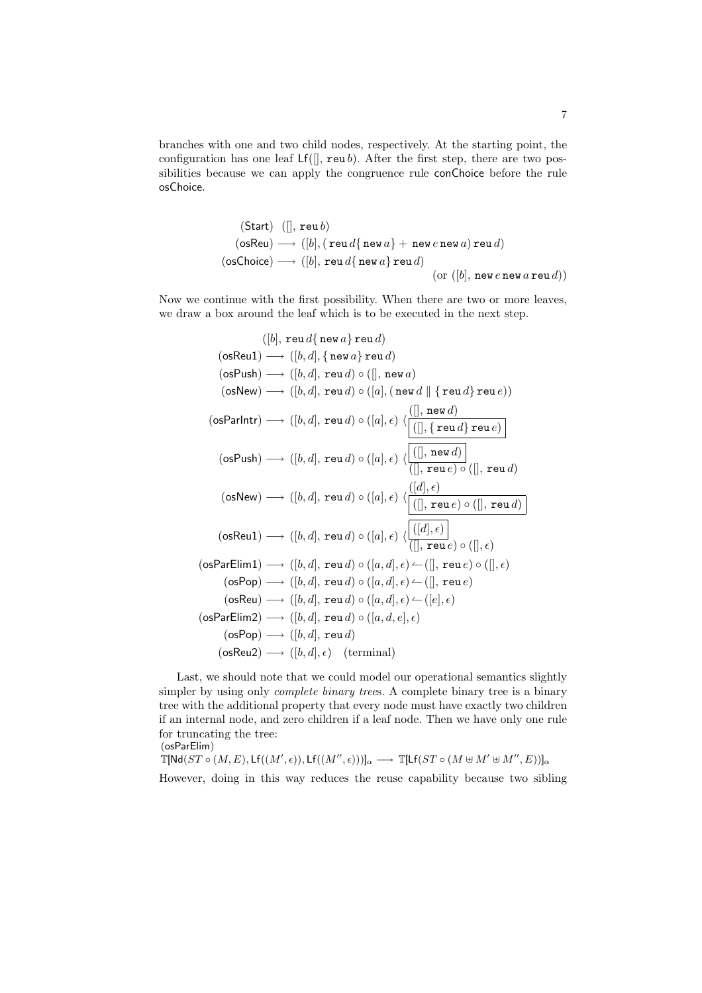branches with one and two child nodes, respectively. At the starting point, the configuration has one leaf  $Lf($ , reu b). After the first step, there are two possibilities because we can apply the congruence rule conChoice before the rule osChoice.

> $(Start) ([], \text{reu } b)$  $(\mathsf{os}\mathsf{Re}\mathsf{u}) \longrightarrow \, ([b], (\, \mathsf{re}\mathsf{u}\, d\{\,\mathsf{ne}\mathsf{w}\, a\} + \mathsf{ne}\mathsf{w}\, e\,\mathsf{n}\mathsf{e}\mathsf{w}\, a)\,\mathsf{re}\mathsf{u}\, d)$  $(\texttt{osChoice)} \longrightarrow ([b], \, \texttt{reu} \, d \{ \, \texttt{new} \, a \} \, \texttt{reu} \, d)$ (or  $([b], new\, e$  new  $a$  reu  $d)$ )

Now we continue with the first possibility. When there are two or more leaves, we draw a box around the leaf which is to be executed in the next step.

$$
([b], \text{reu } d\{\text{new } d\} \text{reu } d)
$$
\n
$$
(\text{osReu1}) \longrightarrow ([b, d], \{\text{new } a\} \text{reu } d)
$$
\n
$$
(\text{osNew}) \longrightarrow ([b, d], \text{reu } d) \circ ([l], \text{new } a)
$$
\n
$$
(\text{osNew}) \longrightarrow ([b, d], \text{reu } d) \circ ([a], (\text{new } d || \{\text{reu } d\} \text{reu } e))
$$
\n
$$
(\text{osParIntr}) \longrightarrow ([b, d], \text{reu } d) \circ ([a], \epsilon) \langle \frac{([l], \text{new } d)}{([l], \{\text{reu } d\} \text{reu } e)} \rangle
$$
\n
$$
(\text{osPush}) \longrightarrow ([b, d], \text{reu } d) \circ ([a], \epsilon) \langle \frac{([l], \text{new } d)}{([l], \text{reu } e) \circ ([l], \text{reu } d)} \rangle
$$
\n
$$
(\text{osNew}) \longrightarrow ([b, d], \text{reu } d) \circ ([a], \epsilon) \langle \frac{([d], \epsilon)}{([l], \text{reu } e) \circ ([l], \text{reu } d)} \rangle
$$
\n
$$
(\text{osReu1}) \longrightarrow ([b, d], \text{reu } d) \circ ([a], \epsilon) \langle \frac{([d], \epsilon)}{([l], \text{reu } e) \circ ([l], \text{eu } d)} \rangle
$$
\n
$$
(\text{osParElim1}) \longrightarrow ([b, d], \text{reu } d) \circ ([a, d], \epsilon) \leftarrow ([l], \text{reu } e) \circ ([l], \epsilon)
$$
\n
$$
(\text{osReu}) \longrightarrow ([b, d], \text{reu } d) \circ ([a, d], \epsilon) \leftarrow ([l], \text{reu } e) \rangle
$$
\n
$$
(\text{osReu}) \longrightarrow ([b, d], \text{reu } d) \circ ([a, d], \epsilon) \leftarrow ([e], \epsilon)
$$
\n
$$
(\text{osPap1}) \longrightarrow ([b, d], \text{ru } d) \circ ([a, d], \epsilon) \leftarrow ([e], \epsilon)
$$
\n
$$
(\text{osPap2}) \longrightarrow ([b, d], \text{ru } d) \circ ([a, d], \epsilon) \leftarrow ([e], \epsilon)
$$
\n
$$
(\text{osPap2}) \
$$

Last, we should note that we could model our operational semantics slightly simpler by using only *complete binary trees*. A complete binary tree is a binary tree with the additional property that every node must have exactly two children if an internal node, and zero children if a leaf node. Then we have only one rule for truncating the tree:

(osParElim)  $\mathbb{T}[\mathsf{Nd}(ST\circ (M,E),\mathsf{Lf}((M',\epsilon)),\mathsf{Lf}((M'',\epsilon)))]_{\alpha}\longrightarrow \mathbb{T}[\mathsf{Lf}(ST\circ (M\uplus M'\uplus M'',E))]_{\alpha}$ However, doing in this way reduces the reuse capability because two sibling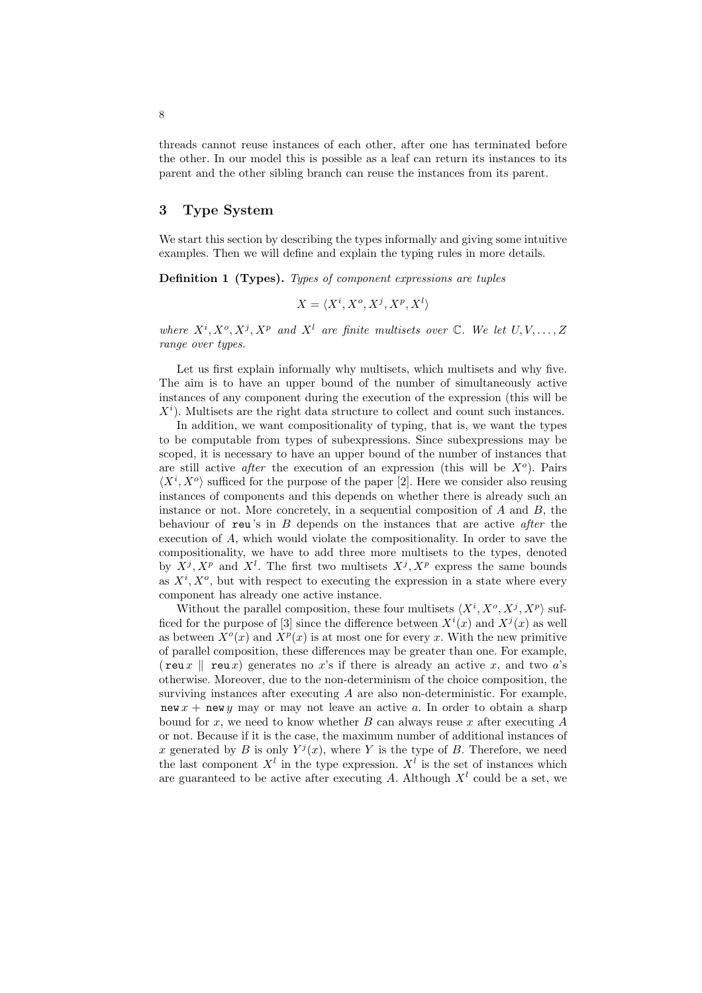threads cannot reuse instances of each other, after one has terminated before the other. In our model this is possible as a leaf can return its instances to its parent and the other sibling branch can reuse the instances from its parent.

## 3 Type System

We start this section by describing the types informally and giving some intuitive examples. Then we will define and explain the typing rules in more details.

Definition 1 (Types). Types of component expressions are tuples

$$
X = \langle X^i, X^o, X^j, X^p, X^l \rangle
$$

where  $X^i, X^o, X^j, X^p$  and  $X^l$  are finite multisets over  $\mathbb C$ . We let  $U, V, \ldots, Z$ range over types.

Let us first explain informally why multisets, which multisets and why five. The aim is to have an upper bound of the number of simultaneously active instances of any component during the execution of the expression (this will be  $X<sup>i</sup>$ ). Multisets are the right data structure to collect and count such instances.

In addition, we want compositionality of typing, that is, we want the types to be computable from types of subexpressions. Since subexpressions may be scoped, it is necessary to have an upper bound of the number of instances that are still active *after* the execution of an expression (this will be  $X<sup>o</sup>$ ). Pairs  $\langle X^i, X^o \rangle$  sufficed for the purpose of the paper [2]. Here we consider also reusing instances of components and this depends on whether there is already such an instance or not. More concretely, in a sequential composition of  $A$  and  $B$ , the behaviour of reu's in  $B$  depends on the instances that are active *after* the execution of A, which would violate the compositionality. In order to save the compositionality, we have to add three more multisets to the types, denoted by  $X^j, X^p$  and  $X^l$ . The first two multisets  $X^j, X^p$  express the same bounds as  $X^i, X^o$ , but with respect to executing the expression in a state where every component has already one active instance.

Without the parallel composition, these four multisets  $\langle X^i, X^o, X^j, X^p \rangle$  sufficed for the purpose of [3] since the difference between  $X^{i}(x)$  and  $X^{j}(x)$  as well as between  $X^o(x)$  and  $X^p(x)$  is at most one for every x. With the new primitive of parallel composition, these differences may be greater than one. For example, (reu x | reu x) generates no x's if there is already an active x, and two  $a$ 's otherwise. Moreover, due to the non-determinism of the choice composition, the surviving instances after executing  $A$  are also non-deterministic. For example, new x + new y may or may not leave an active a. In order to obtain a sharp bound for x, we need to know whether  $B$  can always reuse x after executing  $A$ or not. Because if it is the case, the maximum number of additional instances of x generated by B is only  $Y^{j}(x)$ , where Y is the type of B. Therefore, we need the last component  $X^l$  in the type expression.  $X^l$  is the set of instances which are guaranteed to be active after executing A. Although  $X<sup>l</sup>$  could be a set, we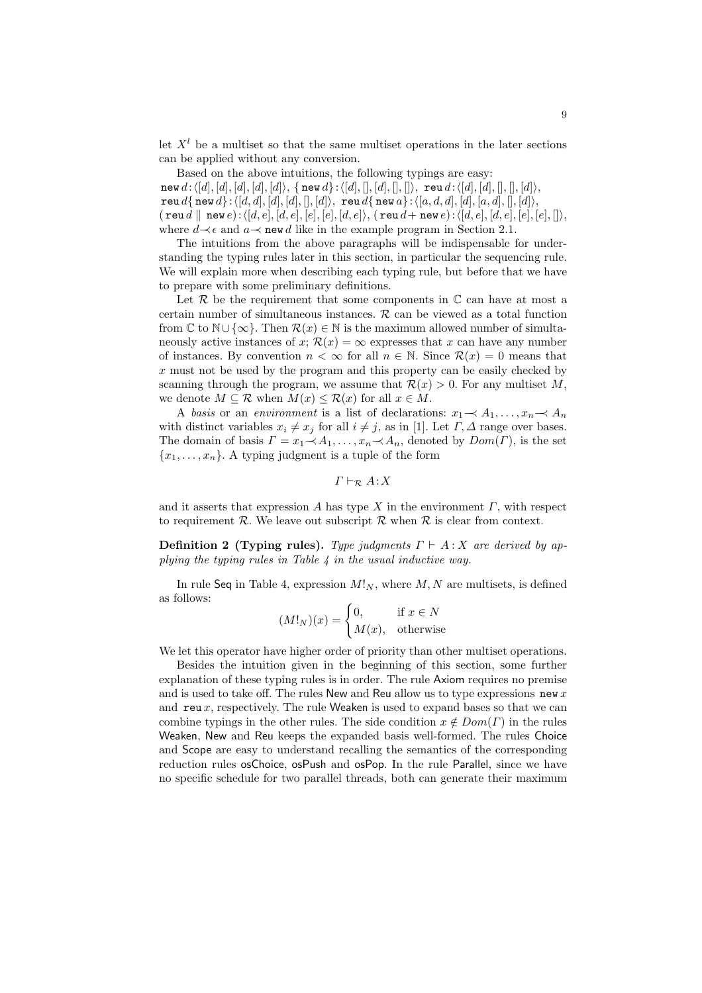let  $X<sup>l</sup>$  be a multiset so that the same multiset operations in the later sections can be applied without any conversion.

Based on the above intuitions, the following typings are easy: new  $d: \langle [d], [d], [d], [d]\rangle, \{$  new  $d\}:\langle [d], [[, [[, [[, [[, [[, [[, [[, [[, [[, [[, [[, [[, [[, [[, [[, [[, [[, [d],[h],[h],[h],[h],[h],[h]][h],\n]]]\n]),$ reu  $d\{$  new  $d\}$ :  $\langle [d, d], [d], [d], [d]\rangle$ , reu  $d\{$  new  $a\}$ :  $\langle [a, d, d], [d], [a, d], [[, [d]\rangle,$  $(\text{reu } d \parallel \text{new } e): \langle [d, e], [d, e], [e], [e], [d, e]\rangle, (\text{reu } d + \text{new } e): \langle [d, e], [d, e], [e], [e], \rangle\rangle,$ where  $d \prec \epsilon$  and  $a \prec \text{new } d$  like in the example program in Section 2.1.

The intuitions from the above paragraphs will be indispensable for understanding the typing rules later in this section, in particular the sequencing rule. We will explain more when describing each typing rule, but before that we have to prepare with some preliminary definitions.

Let  $\mathcal R$  be the requirement that some components in  $\mathbb C$  can have at most a certain number of simultaneous instances.  $R$  can be viewed as a total function from  $\mathbb C$  to  $\mathbb N\cup\{\infty\}$ . Then  $\mathcal R(x)\in\mathbb N$  is the maximum allowed number of simultaneously active instances of x;  $\mathcal{R}(x) = \infty$  expresses that x can have any number of instances. By convention  $n < \infty$  for all  $n \in \mathbb{N}$ . Since  $\mathcal{R}(x) = 0$  means that x must not be used by the program and this property can be easily checked by scanning through the program, we assume that  $\mathcal{R}(x) > 0$ . For any multiset M, we denote  $M \subseteq \mathcal{R}$  when  $M(x) \leq \mathcal{R}(x)$  for all  $x \in M$ .

A basis or an *environment* is a list of declarations:  $x_1 \rightarrow A_1, \ldots, x_n \rightarrow A_n$ with distinct variables  $x_i \neq x_j$  for all  $i \neq j$ , as in [1]. Let  $\Gamma$ ,  $\Delta$  range over bases. The domain of basis  $\Gamma = x_1 \prec A_1, \ldots, x_n \prec A_n$ , denoted by  $Dom(\Gamma)$ , is the set  ${x_1, \ldots, x_n}$ . A typing judgment is a tuple of the form

 $\Gamma \vdash_{\mathcal{R}} A:X$ 

and it asserts that expression A has type X in the environment  $\Gamma$ , with respect to requirement  $R$ . We leave out subscript  $R$  when  $R$  is clear from context.

**Definition 2 (Typing rules).** Type judgments  $\Gamma \vdash A : X$  are derived by applying the typing rules in Table 4 in the usual inductive way.

In rule Seq in Table 4, expression  $M!_N$ , where  $M, N$  are multisets, is defined as follows:

$$
(M!_N)(x) = \begin{cases} 0, & \text{if } x \in N \\ M(x), & \text{otherwise} \end{cases}
$$

We let this operator have higher order of priority than other multiset operations.

Besides the intuition given in the beginning of this section, some further explanation of these typing rules is in order. The rule Axiom requires no premise and is used to take off. The rules New and Reu allow us to type expressions new  $x$ and reu x, respectively. The rule Weaken is used to expand bases so that we can combine typings in the other rules. The side condition  $x \notin Dom(\Gamma)$  in the rules Weaken, New and Reu keeps the expanded basis well-formed. The rules Choice and Scope are easy to understand recalling the semantics of the corresponding reduction rules osChoice, osPush and osPop. In the rule Parallel, since we have no specific schedule for two parallel threads, both can generate their maximum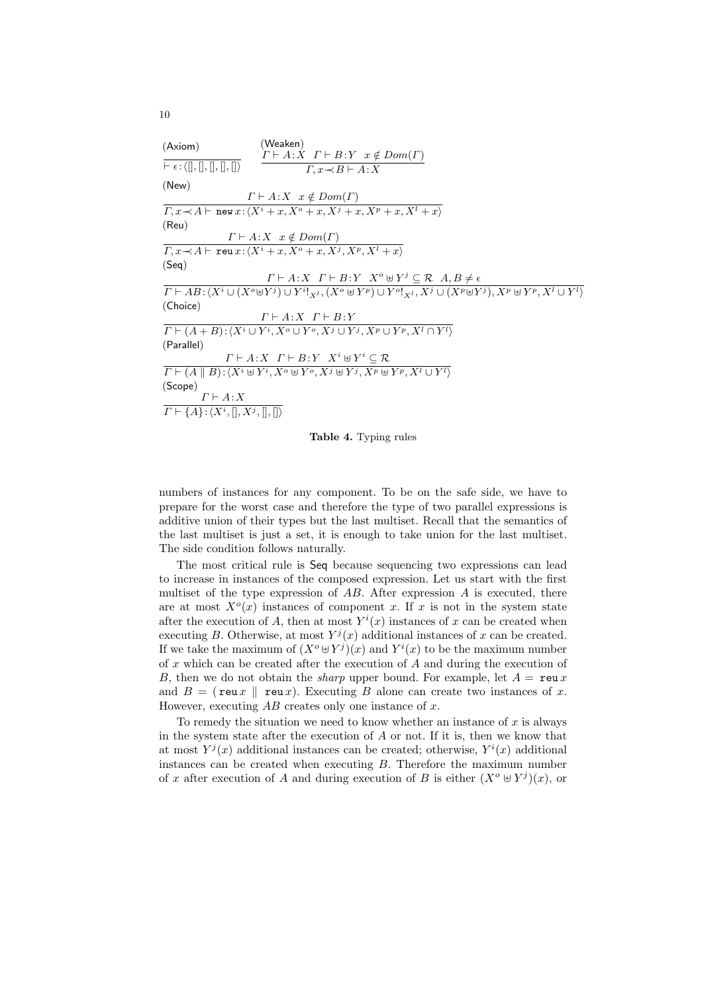| (Axiom)                                                                                                    | (Weaken)                                                                                                                                                                            |
|------------------------------------------------------------------------------------------------------------|-------------------------------------------------------------------------------------------------------------------------------------------------------------------------------------|
|                                                                                                            | $\Gamma \vdash A: X \ \Gamma \vdash B: Y \ x \notin Dom(\Gamma)$                                                                                                                    |
| $\vdash \epsilon\!:\!\langle [\mathord{]} , \mathord{]} , \mathord{]} , \mathord{]} , \mathord{]} \rangle$ | $\Gamma, x \rightarrow B \vdash A:X$                                                                                                                                                |
| (New)                                                                                                      |                                                                                                                                                                                     |
|                                                                                                            | $\Gamma \vdash A : X \ x \notin Dom(\Gamma)$                                                                                                                                        |
|                                                                                                            | $\Gamma, x \rightarrow A \vdash \text{new } x : \langle X^i + x, X^o + x, X^j + x, X^p + x, X^l + x \rangle$                                                                        |
| (Reu)                                                                                                      |                                                                                                                                                                                     |
|                                                                                                            | $\Gamma \vdash A : X \ x \notin Dom(\Gamma)$                                                                                                                                        |
|                                                                                                            | $\Gamma, x \rightarrow A \vdash \texttt{reu } x: \langle X^i + x, X^o + x, X^j, X^p, X^l + x \rangle$                                                                               |
| (Seq)                                                                                                      |                                                                                                                                                                                     |
|                                                                                                            | $\Gamma \vdash A:X \ \Gamma \vdash B:Y \ X^o \uplus Y^j \subseteq \mathcal{R} \ \ A,B \neq \epsilon$                                                                                |
|                                                                                                            | $\Gamma \vdash AB : \langle X^i \cup (X^o \oplus Y^j) \cup Y^i \vert_{X^l}, (X^o \oplus Y^p) \cup Y^o \vert_{X^l}, X^j \cup (X^p \oplus Y^j), X^p \oplus Y^p, X^l \cup Y^l \rangle$ |
| (Choice)                                                                                                   |                                                                                                                                                                                     |
|                                                                                                            | $\Gamma \vdash A:X \quad \Gamma \vdash B:Y$                                                                                                                                         |
|                                                                                                            | $\Gamma \vdash (A + B) : \langle X^i \cup Y^i, X^o \cup Y^o, X^j \cup Y^j, X^p \cup Y^p, X^l \cap Y^l \rangle$                                                                      |
| (Parallel)                                                                                                 |                                                                                                                                                                                     |
|                                                                                                            | $\Gamma \vdash A:X \ \Gamma \vdash B:Y \ X^i \uplus Y^i \subset \mathcal{R}$                                                                                                        |
|                                                                                                            | $\Gamma \vdash (A \parallel B) : \langle X^i \uplus Y^i, X^o \uplus Y^o, X^j \uplus Y^j, X^p \uplus Y^p, X^l \cup Y^l \rangle$                                                      |
| (Scope)                                                                                                    |                                                                                                                                                                                     |
| $\Gamma \vdash A:X$                                                                                        |                                                                                                                                                                                     |
| $\Gamma \vdash \{A\} : \langle X^i, [] , X^j, [] , [] \rangle$                                             |                                                                                                                                                                                     |

Table 4. Typing rules

numbers of instances for any component. To be on the safe side, we have to prepare for the worst case and therefore the type of two parallel expressions is additive union of their types but the last multiset. Recall that the semantics of the last multiset is just a set, it is enough to take union for the last multiset. The side condition follows naturally.

The most critical rule is Seq because sequencing two expressions can lead to increase in instances of the composed expression. Let us start with the first multiset of the type expression of  $AB$ . After expression  $A$  is executed, there are at most  $X^o(x)$  instances of component x. If x is not in the system state after the execution of A, then at most  $Y^{i}(x)$  instances of x can be created when executing B. Otherwise, at most  $Y^{j}(x)$  additional instances of x can be created. If we take the maximum of  $(X^o \oplus Y^j)(x)$  and  $Y^i(x)$  to be the maximum number of  $x$  which can be created after the execution of  $A$  and during the execution of B, then we do not obtain the *sharp* upper bound. For example, let  $A = \text{reu } x$ and  $B = ($ reu x || reu x). Executing B alone can create two instances of x. However, executing  $AB$  creates only one instance of  $x$ .

To remedy the situation we need to know whether an instance of  $x$  is always in the system state after the execution of A or not. If it is, then we know that at most  $Y^{j}(x)$  additional instances can be created; otherwise,  $Y^{i}(x)$  additional instances can be created when executing B. Therefore the maximum number of x after execution of A and during execution of B is either  $(X^o \oplus Y^j)(x)$ , or

10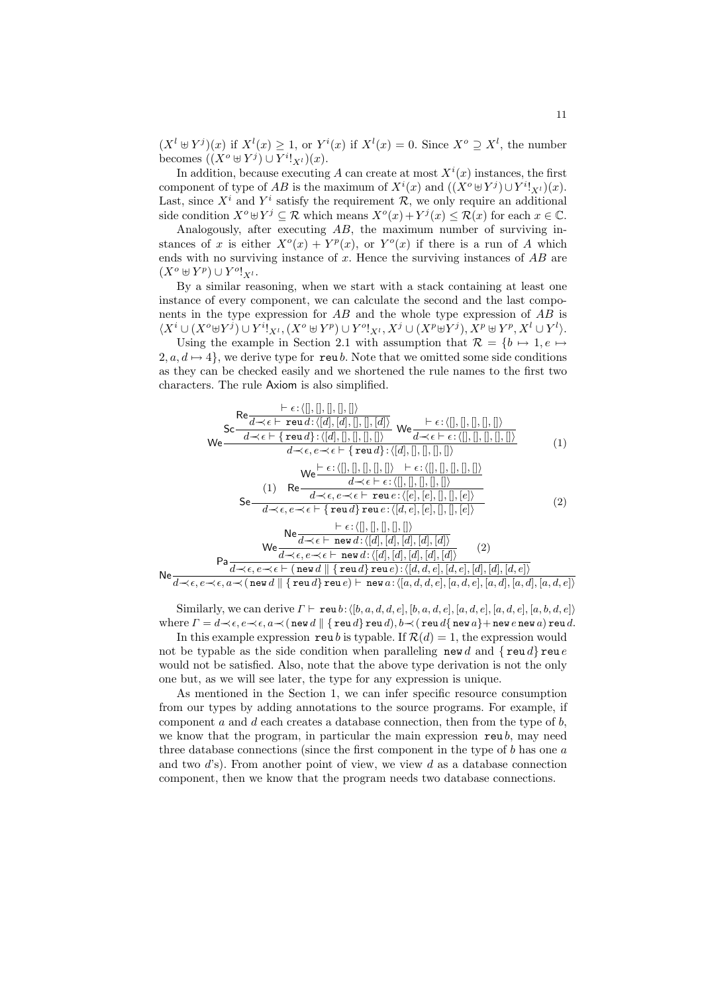$(X<sup>l</sup> \oplus Y<sup>j</sup>)(x)$  if  $X<sup>l</sup>(x) \geq 1$ , or  $Y<sup>i</sup>(x)$  if  $X<sup>l</sup>(x) = 0$ . Since  $X<sup>o</sup> \supseteq X<sup>l</sup>$ , the number becomes  $((X^o \oplus Y^j) \cup Y^i!_{X^l})(x)$ .

In addition, because executing A can create at most  $X^{i}(x)$  instances, the first component of type of AB is the maximum of  $X^{i}(x)$  and  $((X^o \oplus Y^j) \cup Y^{i}!_{X^{l}})(x)$ . Last, since  $X^i$  and  $Y^i$  satisfy the requirement  $\mathcal{R}$ , we only require an additional side condition  $X^o \cup Y^j \subseteq \mathcal{R}$  which means  $X^o(x) + Y^j(x) \leq \mathcal{R}(x)$  for each  $x \in \mathbb{C}$ .

Analogously, after executing AB, the maximum number of surviving instances of x is either  $X^o(x) + Y^p(x)$ , or  $Y^o(x)$  if there is a run of A which ends with no surviving instance of x. Hence the surviving instances of  $AB$  are  $(X^o \oplus Y^p) \cup Y^o!_{X^l}.$ 

By a similar reasoning, when we start with a stack containing at least one instance of every component, we can calculate the second and the last components in the type expression for AB and the whole type expression of AB is  $\langle X^i \cup (X^o \uplus Y^j) \cup Y^i!_{X^l}, (X^o \uplus Y^p) \cup Y^o!_{X^l}, X^j \cup (X^p \uplus Y^j), X^p \uplus Y^p, X^l \cup Y^l \rangle.$ 

Using the example in Section 2.1 with assumption that  $\mathcal{R} = \{b \mapsto 1, e \mapsto 0\}$ 2,  $a, d \mapsto 4$ , we derive type for reu b. Note that we omitted some side conditions as they can be checked easily and we shortened the rule names to the first two characters. The rule Axiom is also simplified.

$$
\text{Re}\frac{\mathsf{Re}\frac{\mathsf{E}\epsilon:\langle[],[],[],[],[]\rangle}{d \prec \epsilon \vdash \mathsf{reu}d:\langle[d],[],[],[],[],\mathcal{A}]\rangle}}{\mathsf{We}\frac{d \prec \epsilon \vdash \epsilon:\langle[],[],[],[],[],[],[],\mathcal{A}]\rangle}{d \prec \epsilon \vdash \epsilon:\langle[],[],[],[],[],[],[],\mathcal{A}]\rangle} \qquad \text{(1)}
$$
\n
$$
\text{We}^{\mathsf{E}\epsilon:\langle[],[],[],[],[],[],[],\mathcal{A}]\rangle} \qquad \text{(2)}
$$
\n
$$
\text{We}^{\mathsf{E}\epsilon:\langle[],[],[],[],[],[],[],\mathcal{A}]\rangle} \qquad \text{(3)}
$$
\n
$$
\text{We}^{\mathsf{E}\epsilon:\langle[],[],[],[],[],[],[],\mathcal{A}]\rangle} \qquad \text{(4)}
$$
\n
$$
\text{We}^{\mathsf{E}\epsilon:\langle[],[],[],[],[],[],[],\mathcal{A}]\rangle} \qquad \text{(5)}
$$
\n
$$
\text{We}^{\mathsf{E}\epsilon:\langle[],[],[],[],[],[],[],\mathcal{A}]\rangle} \qquad \text{(6)}
$$
\n
$$
\text{We}^{\mathsf{E}\epsilon:\langle[],[],[],[],[],[],[],\mathcal{A}]\rangle} \qquad \text{(7)}
$$
\n
$$
\text{We}^{\mathsf{E}\epsilon:\langle[],[],[],[],[],[],[],\mathcal{A}]\rangle} \qquad \text{(8)}
$$
\n
$$
\text{We}^{\mathsf{E}\epsilon:\langle[],[],[],[],[],[],[],\mathcal{A}]\rangle} \qquad \text{(9)}
$$
\n
$$
\text{We}^{\mathsf{E}\epsilon:\langle[],[],[],[],[],[],[],\mathcal{A}]\rangle} \qquad \text{(1)}
$$
\n
$$
\text{We}^{\mathsf{E}\epsilon:\langle[],[],[],[],[],[],[],\mathcal{A}]\rangle} \qquad \text{(2)}
$$
\n
$$
\text{We}^{\mathsf{E}\epsilon:\langle[],[],[],[],[],[],[],\mathcal{A}]\rangle} \qquad \text{(3)}
$$
\n
$$
\text{We}^{\mathsf{E}\epsilon:\langle[],[],[],[],[],[],[],\mathcal{A}]\rangle} \qquad \text{(4)}
$$
\n
$$
\text{We}^{\math
$$

Similarly, we can derive  $\varGamma \vdash \mathtt{reu} \, b: \langle [b, a, d, d, e], [b, a, d, e], [a, d, e], [a, d, e], [a, b, d, e]\rangle$ where  $\Gamma = d \text{⊺ } \epsilon, e \text{⊤ } \epsilon, a \text{¬( } \mathbf{new } d \text{ } | \text{ } \{ \text{ } \mathbf{rew } d \} \text{ } \mathbf{rew } d \text{ } \mathbf{new } a \text{ } \mathbf{new } a \text{ } \mathbf{new } a \text{ } \mathbf{new } d \text{ } \mathbf{new } d \text{.}$ 

In this example expression reu b is typable. If  $\mathcal{R}(d) = 1$ , the expression would not be typable as the side condition when paralleling new d and  $\{ \text{reu } d \}$  reu e would not be satisfied. Also, note that the above type derivation is not the only one but, as we will see later, the type for any expression is unique.

As mentioned in the Section 1, we can infer specific resource consumption from our types by adding annotations to the source programs. For example, if component  $a$  and  $d$  each creates a database connection, then from the type of  $b$ , we know that the program, in particular the main expression reu b, may need three database connections (since the first component in the type of  $b$  has one  $a$ and two  $d$ 's). From another point of view, we view d as a database connection component, then we know that the program needs two database connections.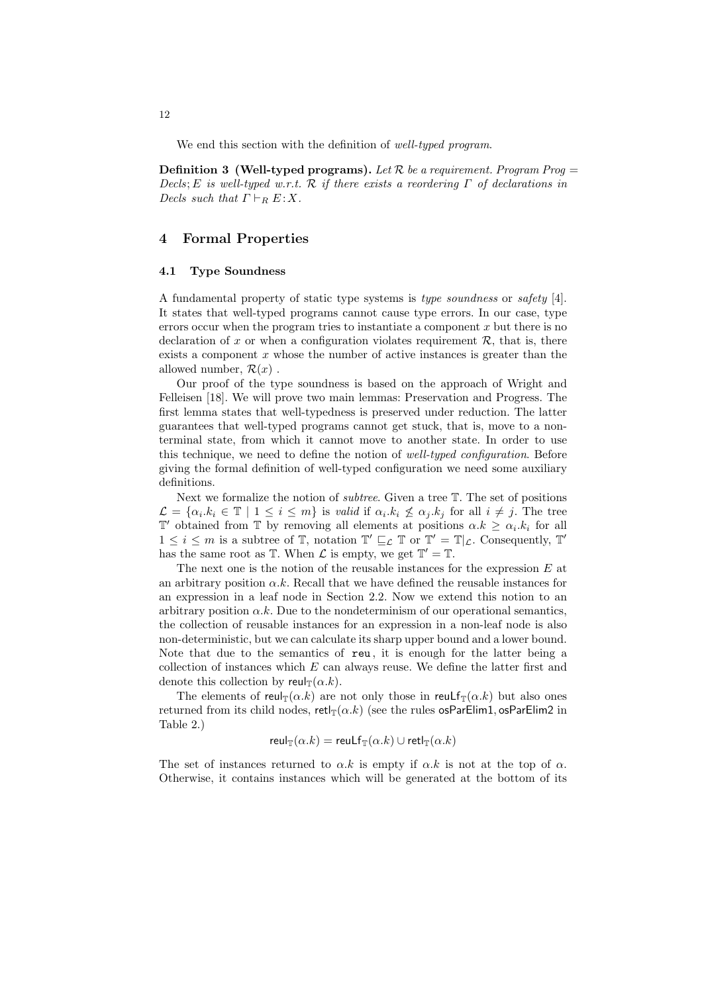We end this section with the definition of well-typed program.

**Definition 3** (Well-typed programs). Let R be a requirement. Program Prog  $=$ Decls; E is well-typed w.r.t. R if there exists a reordering  $\Gamma$  of declarations in Decls such that  $\Gamma \vdash_R E : X$ .

## 4 Formal Properties

#### 4.1 Type Soundness

A fundamental property of static type systems is type soundness or safety [4]. It states that well-typed programs cannot cause type errors. In our case, type errors occur when the program tries to instantiate a component  $x$  but there is no declaration of x or when a configuration violates requirement  $\mathcal{R}$ , that is, there exists a component  $x$  whose the number of active instances is greater than the allowed number,  $\mathcal{R}(x)$ .

Our proof of the type soundness is based on the approach of Wright and Felleisen [18]. We will prove two main lemmas: Preservation and Progress. The first lemma states that well-typedness is preserved under reduction. The latter guarantees that well-typed programs cannot get stuck, that is, move to a nonterminal state, from which it cannot move to another state. In order to use this technique, we need to define the notion of well-typed configuration. Before giving the formal definition of well-typed configuration we need some auxiliary definitions.

Next we formalize the notion of subtree. Given a tree T. The set of positions  $\mathcal{L} = \{ \alpha_i.k_i \in \mathbb{T} \mid 1 \leq i \leq m \}$  is valid if  $\alpha_i.k_i \nleq \alpha_j.k_j$  for all  $i \neq j$ . The tree  $\mathbb{T}'$  obtained from  $\mathbb{T}$  by removing all elements at positions  $\alpha.k \geq \alpha_i.k_i$  for all  $1 \leq i \leq m$  is a subtree of  $\mathbb{T}$ , notation  $\mathbb{T}' \sqsubseteq_{\mathcal{L}} \mathbb{T}$  or  $\mathbb{T}' = \mathbb{T}|_{\mathcal{L}}$ . Consequently,  $\mathbb{T}'$ has the same root as  $\mathbb{T}$ . When  $\mathcal{L}$  is empty, we get  $\mathbb{T}' = \mathbb{T}$ .

The next one is the notion of the reusable instances for the expression  $E$  at an arbitrary position  $\alpha \cdot k$ . Recall that we have defined the reusable instances for an expression in a leaf node in Section 2.2. Now we extend this notion to an arbitrary position  $\alpha.k$ . Due to the nondeterminism of our operational semantics, the collection of reusable instances for an expression in a non-leaf node is also non-deterministic, but we can calculate its sharp upper bound and a lower bound. Note that due to the semantics of reu , it is enough for the latter being a collection of instances which  $E$  can always reuse. We define the latter first and denote this collection by reul $_{\mathbb{T}}(\alpha,k)$ .

The elements of reul $_{\mathbb{T}}(\alpha,k)$  are not only those in reult $_{\mathbb{T}}(\alpha,k)$  but also ones returned from its child nodes, retl $_{\mathbb{T}}(\alpha,k)$  (see the rules osParElim1, osParElim2 in Table 2.)

$$
\mathsf{reul}_\mathbb{T}(\alpha.k)=\mathsf{reulf}_\mathbb{T}(\alpha.k)\cup\mathsf{retl}_\mathbb{T}(\alpha.k)
$$

The set of instances returned to  $\alpha k$  is empty if  $\alpha k$  is not at the top of  $\alpha$ . Otherwise, it contains instances which will be generated at the bottom of its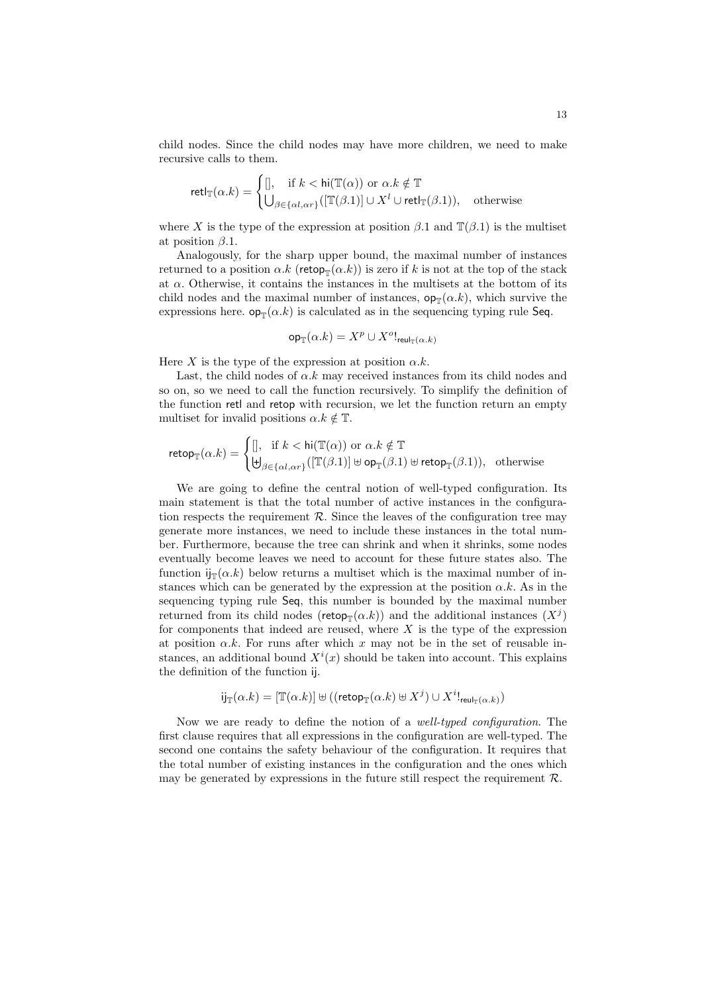child nodes. Since the child nodes may have more children, we need to make recursive calls to them.

$$
\mathsf{retl}_{\mathbb{T}}(\alpha.k) = \begin{cases}[], & \text{if } k < \mathsf{hi}(\mathbb{T}(\alpha)) \text{ or } \alpha.k \notin \mathbb{T} \\ \bigcup_{\beta \in \{\alpha l, \alpha r\}}([\mathbb{T}(\beta.1)] \cup X^l \cup \mathsf{retl}_{\mathbb{T}}(\beta.1)), & \text{otherwise} \end{cases}
$$

where X is the type of the expression at position  $\beta$ .1 and  $\mathbb{T}(\beta,1)$  is the multiset at position  $\beta$ .1.

Analogously, for the sharp upper bound, the maximal number of instances returned to a position  $\alpha.k$  (retop $_{\mathbb{T}}(\alpha.k)$ ) is zero if k is not at the top of the stack at  $\alpha$ . Otherwise, it contains the instances in the multisets at the bottom of its child nodes and the maximal number of instances,  $\mathsf{op}_{\mathbb{T}}(\alpha,k)$ , which survive the expressions here.  $op_{\mathbb{T}}(\alpha.k)$  is calculated as in the sequencing typing rule Seq.

$$
\text{op}_{\mathbb{T}}(\alpha.k) = X^p \cup X^o!_{\text{reul}_{\mathbb{T}}(\alpha.k)}
$$

Here X is the type of the expression at position  $\alpha.k$ .

Last, the child nodes of  $\alpha \cdot k$  may received instances from its child nodes and so on, so we need to call the function recursively. To simplify the definition of the function retl and retop with recursion, we let the function return an empty multiset for invalid positions  $\alpha.k \notin \mathbb{T}$ .

$$
\mathsf{retop}_\mathbbm{T}(\alpha.k)=\begin{cases}[],\text{ if }k<\mathsf{hi}(\mathbbm{T}(\alpha))\text{ or }\alpha.k\notin\mathbbm{T}\\ \biguplus_{\beta\in\{\alpha l,\alpha r\}}([\mathbbm{T}(\beta.1)]\uplus\mathsf{op}_\mathbbm{T}(\beta.1)\uplus\mathsf{retop}_\mathbbm{T}(\beta.1)),\text{ otherwise}\end{cases}
$$

We are going to define the central notion of well-typed configuration. Its main statement is that the total number of active instances in the configuration respects the requirement  $R$ . Since the leaves of the configuration tree may generate more instances, we need to include these instances in the total number. Furthermore, because the tree can shrink and when it shrinks, some nodes eventually become leaves we need to account for these future states also. The function  $\mathbf{i}_{\mathbb{T}}(\alpha,k)$  below returns a multiset which is the maximal number of instances which can be generated by the expression at the position  $\alpha.k$ . As in the sequencing typing rule Seq, this number is bounded by the maximal number returned from its child nodes ( $\mathsf{retop}_\mathbb{T}(\alpha.k)$ ) and the additional instances  $(X^j)$ for components that indeed are reused, where  $X$  is the type of the expression at position  $\alpha.k$ . For runs after which x may not be in the set of reusable instances, an additional bound  $X^{i}(x)$  should be taken into account. This explains the definition of the function ij.

$$
\mathsf{ij}_\mathbb{T}(\alpha.k)=[\mathbb{T}(\alpha.k)]\uplus ((\mathsf{retop}_\mathbb{T}(\alpha.k)\uplus X^j)\cup X^i!_{\mathsf{reul}_\mathbb{T}(\alpha.k)})
$$

Now we are ready to define the notion of a well-typed configuration. The first clause requires that all expressions in the configuration are well-typed. The second one contains the safety behaviour of the configuration. It requires that the total number of existing instances in the configuration and the ones which may be generated by expressions in the future still respect the requirement  $\mathcal{R}$ .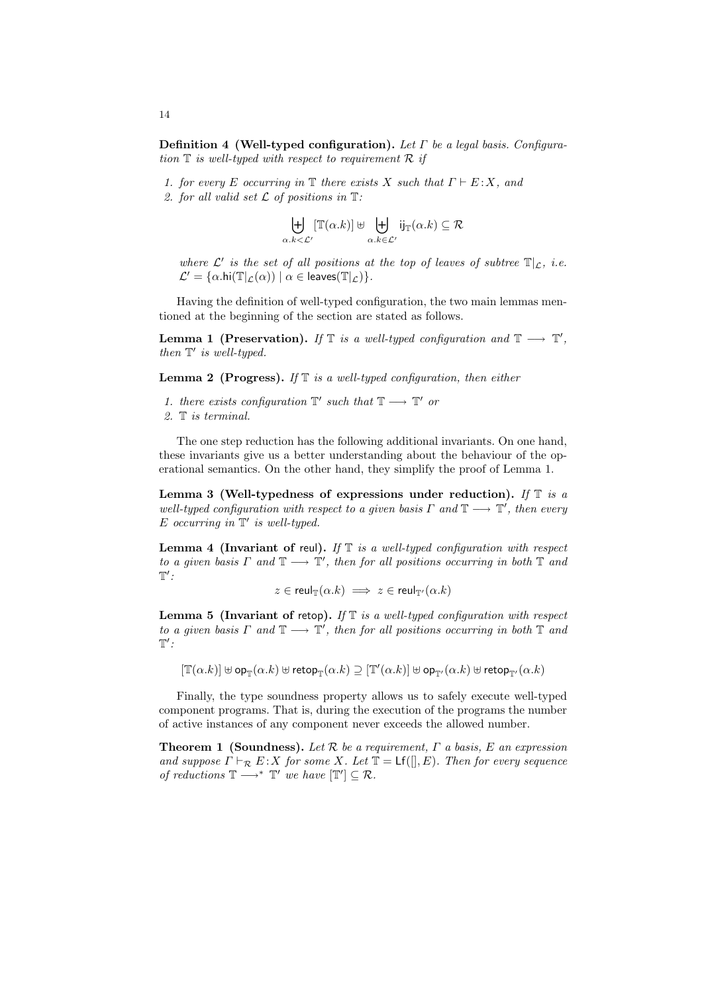**Definition 4 (Well-typed configuration).** Let  $\Gamma$  be a legal basis. Configuration  $\mathbb T$  is well-typed with respect to requirement  $\mathcal R$  if

1. for every E occurring in  $\mathbb T$  there exists X such that  $\Gamma \vdash E : X$ , and

2. for all valid set  $\mathcal L$  of positions in  $\mathbb T$ :

$$
\biguplus_{\alpha,k<\mathcal{L}'}[\mathbb{T}(\alpha.k)] \uplus \biguplus_{\alpha.k\in\mathcal{L}'}\mathrm{ij}_{\mathbb{T}}(\alpha.k) \subseteq \mathcal{R}
$$

where  $\mathcal{L}'$  is the set of all positions at the top of leaves of subtree  $\mathbb{T}|_{\mathcal{L}}$ , i.e.  $\mathcal{L}' = {\alpha.\mathsf{hi}(\mathbb{T}|\mathcal{L}(\alpha)) | \alpha \in \mathsf{leaves}(\mathbb{T}|\mathcal{L})}.$ 

Having the definition of well-typed configuration, the two main lemmas mentioned at the beginning of the section are stated as follows.

**Lemma 1 (Preservation).** If  $\mathbb{T}$  is a well-typed configuration and  $\mathbb{T} \longrightarrow \mathbb{T}'$ , then  $T'$  is well-typed.

**Lemma 2 (Progress).** If  $\mathbb T$  is a well-typed configuration, then either

1. there exists configuration  $\mathbb{T}'$  such that  $\mathbb{T} \longrightarrow \mathbb{T}'$  or

The one step reduction has the following additional invariants. On one hand, these invariants give us a better understanding about the behaviour of the operational semantics. On the other hand, they simplify the proof of Lemma 1.

Lemma 3 (Well-typedness of expressions under reduction). If  $\mathbb T$  is a well-typed configuration with respect to a given basis  $\Gamma$  and  $\mathbb{T} \longrightarrow \mathbb{T}'$ , then every  $E$  occurring in  $\mathbb{T}'$  is well-typed.

**Lemma 4 (Invariant of reul).** If  $T$  is a well-typed configuration with respect to a given basis  $\Gamma$  and  $\mathbb{T} \longrightarrow \mathbb{T}'$ , then for all positions occurring in both  $\mathbb{T}$  and  $\mathbb{T}'$ :

 $z \in \text{relu}_{\mathbb{T}}(\alpha.k) \implies z \in \text{relu}_{\mathbb{T}'}(\alpha.k)$ 

**Lemma 5 (Invariant of retop).** If  $T$  is a well-typed configuration with respect to a given basis  $\Gamma$  and  $\mathbb{T} \longrightarrow \mathbb{T}'$ , then for all positions occurring in both  $\mathbb{T}$  and  $\mathbb{T}'$ :

 $[\mathbb{T}(\alpha.k)]\uplus \mathsf{op}_\mathbb{T}(\alpha.k)\uplus \mathsf{retop}_\mathbb{T}(\alpha.k) \supseteq [\mathbb{T}'(\alpha.k)]\uplus \mathsf{op}_{\mathbb{T}'}(\alpha.k)\uplus \mathsf{retop}_{\mathbb{T}'}(\alpha.k)$ 

Finally, the type soundness property allows us to safely execute well-typed component programs. That is, during the execution of the programs the number of active instances of any component never exceeds the allowed number.

**Theorem 1 (Soundness).** Let  $\mathcal{R}$  be a requirement,  $\Gamma$  a basis,  $E$  an expression and suppose  $\Gamma \vdash_{\mathcal{R}} E : X$  for some X. Let  $\mathbb{T} = \mathsf{Lf}([\mathcal{E}])$ . Then for every sequence of reductions  $\mathbb{T} \longrightarrow^* \mathbb{T}'$  we have  $[\mathbb{T}'] \subseteq \mathcal{R}$ .

<sup>2.</sup> T is terminal.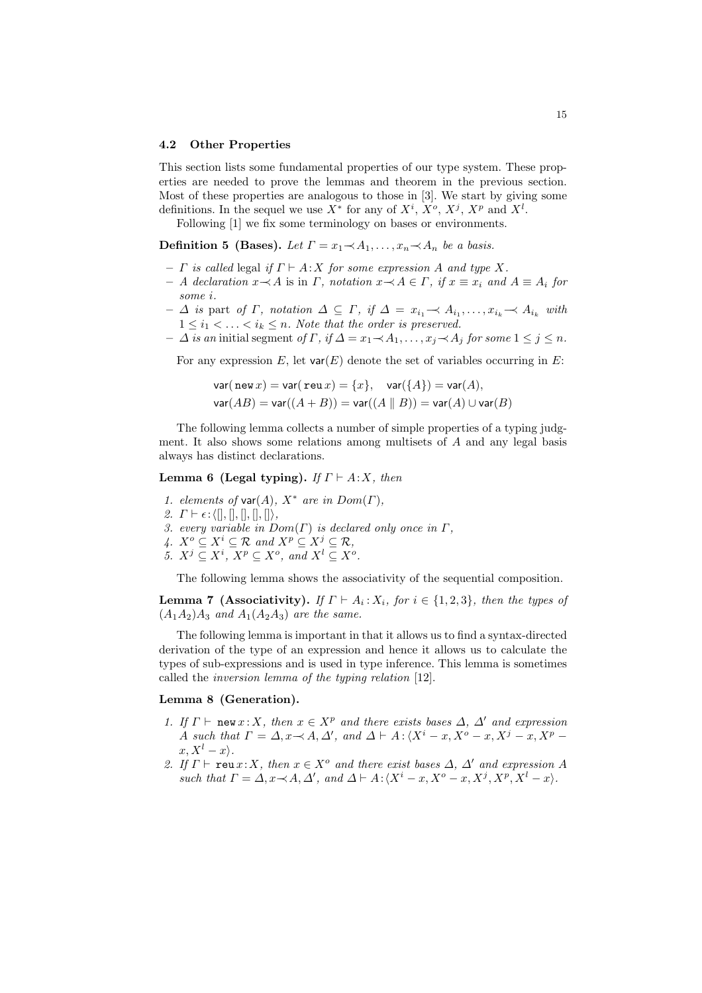#### 4.2 Other Properties

This section lists some fundamental properties of our type system. These properties are needed to prove the lemmas and theorem in the previous section. Most of these properties are analogous to those in [3]. We start by giving some definitions. In the sequel we use  $X^*$  for any of  $X^i$ ,  $X^o$ ,  $X^j$ ,  $X^p$  and  $X^l$ .

Following [1] we fix some terminology on bases or environments.

**Definition 5 (Bases).** Let  $\Gamma = x_1 \prec A_1, \ldots, x_n \prec A_n$  be a basis.

- Γ is called legal if  $\Gamma \vdash A:X$  for some expression A and type X.
- A declaration  $x\rightarrow A$  is in  $\Gamma$ , notation  $x\rightarrow A \in \Gamma$ , if  $x \equiv x_i$  and  $A \equiv A_i$  for some i.
- $\Delta$  is part of  $\Gamma$ , notation  $\Delta \subseteq \Gamma$ , if  $\Delta = x_{i_1} \ll A_{i_1}, \ldots, x_{i_k} \ll A_{i_k}$  with  $1 \leq i_1 < \ldots < i_k \leq n$ . Note that the order is preserved.
- $\Delta$  is an initial segment of  $\Gamma$ , if  $\Delta = x_1 \prec A_1, \ldots, x_j \prec A_j$  for some  $1 \leq j \leq n$ .

For any expression  $E$ , let  $var(E)$  denote the set of variables occurring in  $E$ :

$$
var(new x) = var(\text{reu } x) = \{x\}, \quad var(\lbrace A \rbrace) = var(A),
$$
  

$$
var(AB) = var((A + B)) = var((A \parallel B)) = var(A) \cup var(B)
$$

The following lemma collects a number of simple properties of a typing judgment. It also shows some relations among multisets of A and any legal basis always has distinct declarations.

**Lemma 6 (Legal typing).** If  $\Gamma \vdash A:X$ , then

- 1. elements of var(A),  $X^*$  are in  $Dom(\Gamma)$ ,
- 2.  $\Gamma \vdash \epsilon : \langle [] , [] , [] , [] \rangle,$
- 3. every variable in  $Dom(\Gamma)$  is declared only once in  $\Gamma$ ,
- 4.  $X^o \subseteq X^i \subseteq \mathcal{R}$  and  $X^p \subseteq X^j \subseteq \mathcal{R}$ ,
- 5.  $X^j \subseteq X^i$ ,  $X^p \subseteq X^o$ , and  $X^l \subseteq X^o$ .

The following lemma shows the associativity of the sequential composition.

**Lemma 7** (Associativity). If  $\Gamma \vdash A_i : X_i$ , for  $i \in \{1, 2, 3\}$ , then the types of  $(A_1A_2)A_3$  and  $A_1(A_2A_3)$  are the same.

The following lemma is important in that it allows us to find a syntax-directed derivation of the type of an expression and hence it allows us to calculate the types of sub-expressions and is used in type inference. This lemma is sometimes called the inversion lemma of the typing relation [12].

## Lemma 8 (Generation).

- 1. If  $\Gamma \vdash \text{new } x : X$ , then  $x \in X^p$  and there exists bases  $\Delta$ ,  $\Delta'$  and expression A such that  $\Gamma = \Delta, x \sim A, \Delta'$ , and  $\Delta \vdash A : \langle X^i - x, X^o - x, X^j - x, X^p - x \rangle$  $x, X^l - x$ .
- 2. If  $\Gamma \vdash \texttt{reu} \, x : X$ , then  $x \in X^o$  and there exist bases  $\Delta$ ,  $\Delta'$  and expression A such that  $\Gamma = \Delta, x \prec A, \Delta',$  and  $\Delta \vdash A : \langle X^i - x, X^o - x, X^j, X^p, X^l - x \rangle$ .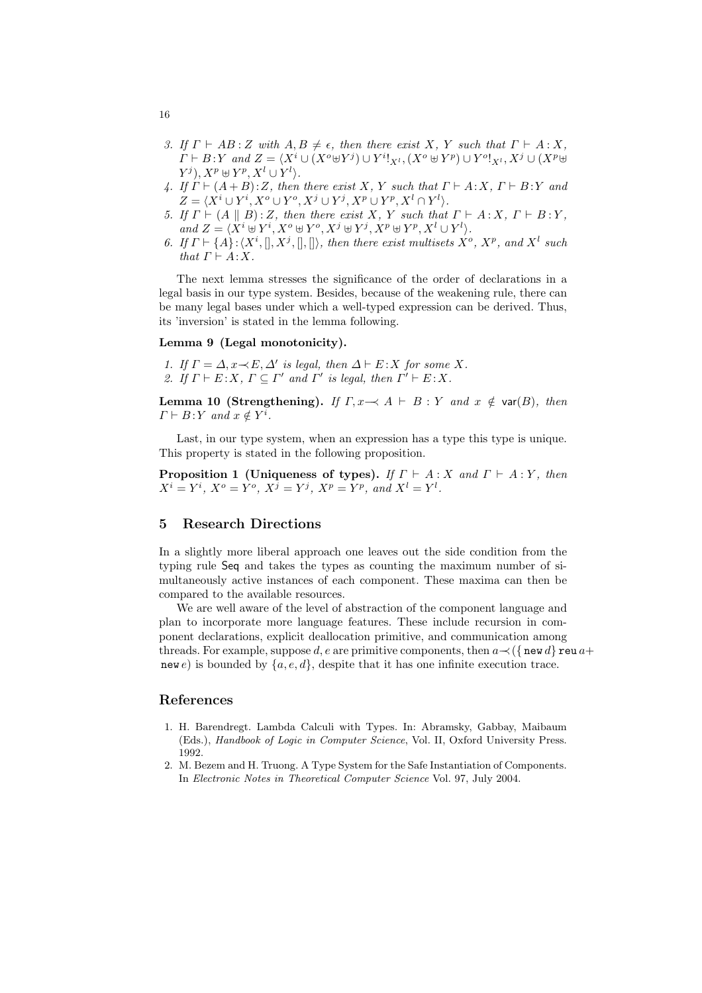- 3. If  $\Gamma \vdash AB : Z$  with  $A, B \neq \epsilon$ , then there exist X, Y such that  $\Gamma \vdash A : X$ ,  $\Gamma \vdash B \colon Y$  and  $Z = \langle X^i \cup (X^o \oplus Y^j) \cup Y^i!_{X^l}, (X^o \oplus Y^p) \cup Y^o!_{X^l}, X^j \cup (X^p \oplus Y^i)^{j} \rangle$  $Y^j$ ,  $X^p \oplus Y^p$ ,  $X^l \cup Y^l$ .
- 4. If  $\Gamma \vdash (A + B) : Z$ , then there exist X, Y such that  $\Gamma \vdash A : X, \Gamma \vdash B : Y$  and  $Z = \langle X^i \cup Y^i, X^o \cup Y^o, X^j \cup Y^j, X^p \cup Y^p, X^l \cap Y^l \rangle.$
- 5. If  $\Gamma \vdash (A \parallel B) : Z$ , then there exist X, Y such that  $\Gamma \vdash A : X, \Gamma \vdash B : Y$ , and  $Z = \langle X^i \oplus Y^i, X^o \oplus Y^o, X^j \oplus Y^j, X^p \oplus Y^p, X^l \cup Y^l \rangle$ .
- 6. If  $\Gamma \vdash \{A\} : \langle X^i,[], X^j,[], \rangle$ , then there exist multisets  $X^o$ ,  $X^p$ , and  $X^l$  such that  $\Gamma \vdash A:X.$

The next lemma stresses the significance of the order of declarations in a legal basis in our type system. Besides, because of the weakening rule, there can be many legal bases under which a well-typed expression can be derived. Thus, its 'inversion' is stated in the lemma following.

#### Lemma 9 (Legal monotonicity).

1. If  $\Gamma = \Delta, x \prec E, \Delta'$  is legal, then  $\Delta \vdash E : X$  for some X. 2. If  $\Gamma \vdash E : X, \Gamma \subseteq \Gamma'$  and  $\Gamma'$  is legal, then  $\Gamma' \vdash E : X$ .

Lemma 10 (Strengthening). If  $\Gamma, x \rightarrow A \vdash B : Y$  and  $x \notin \text{var}(B)$ , then  $\Gamma \vdash B : Y \text{ and } x \notin Y^i.$ 

Last, in our type system, when an expression has a type this type is unique. This property is stated in the following proposition.

**Proposition 1 (Uniqueness of types).** If  $\Gamma \vdash A : X$  and  $\Gamma \vdash A : Y$ , then  $X^i = Y^i$ ,  $X^o = Y^o$ ,  $X^j = Y^j$ ,  $X^p = Y^p$ , and  $X^l = Y^l$ .

# 5 Research Directions

In a slightly more liberal approach one leaves out the side condition from the typing rule Seq and takes the types as counting the maximum number of simultaneously active instances of each component. These maxima can then be compared to the available resources.

We are well aware of the level of abstraction of the component language and plan to incorporate more language features. These include recursion in component declarations, explicit deallocation primitive, and communication among threads. For example, suppose d, e are primitive components, then  $a \rightarrow (\{ new d\} \text{reu } a+$ new e) is bounded by  $\{a, e, d\}$ , despite that it has one infinite execution trace.

#### References

- 1. H. Barendregt. Lambda Calculi with Types. In: Abramsky, Gabbay, Maibaum (Eds.), Handbook of Logic in Computer Science, Vol. II, Oxford University Press. 1992.
- 2. M. Bezem and H. Truong. A Type System for the Safe Instantiation of Components. In Electronic Notes in Theoretical Computer Science Vol. 97, July 2004.

16